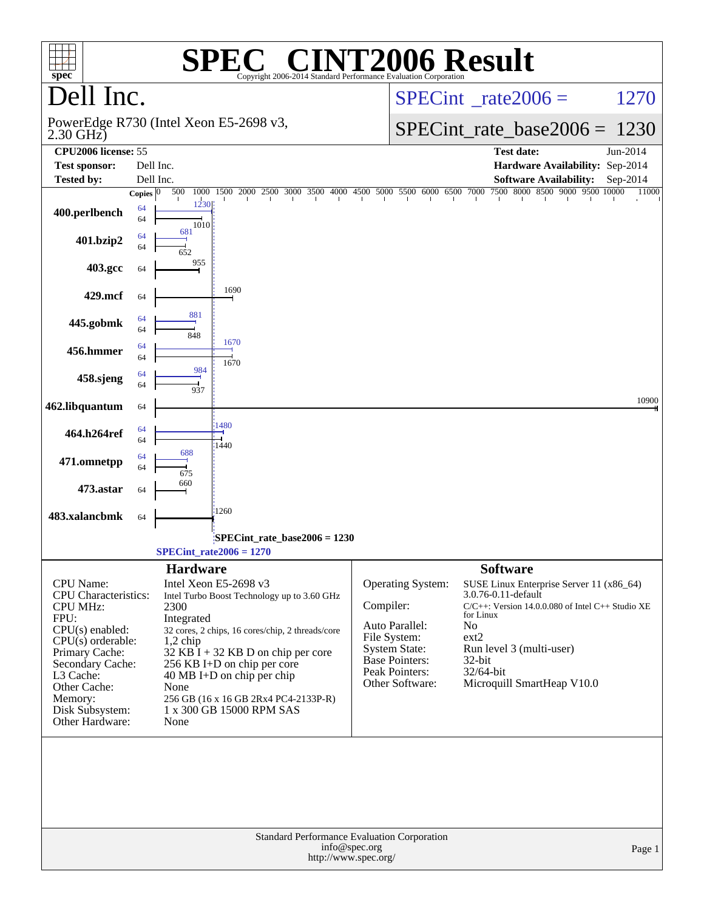| $spec^*$                                                                                                                                                                                                                          |                                |                                                                                                                                                                              | $\blacksquare$<br>Copyright 2006-2014 Standard Performance Evaluation Corporation                                                                                               |               |                                                                                                                                    | <b>NT2006 Result</b>                                                                                                                                                                                                                             |          |
|-----------------------------------------------------------------------------------------------------------------------------------------------------------------------------------------------------------------------------------|--------------------------------|------------------------------------------------------------------------------------------------------------------------------------------------------------------------------|---------------------------------------------------------------------------------------------------------------------------------------------------------------------------------|---------------|------------------------------------------------------------------------------------------------------------------------------------|--------------------------------------------------------------------------------------------------------------------------------------------------------------------------------------------------------------------------------------------------|----------|
| Dell Inc.                                                                                                                                                                                                                         |                                |                                                                                                                                                                              |                                                                                                                                                                                 |               | $SPECint^{\circ}$ <sub>_rate2006</sub> =                                                                                           | 1270                                                                                                                                                                                                                                             |          |
| $2.30$ GHz $)$                                                                                                                                                                                                                    |                                | PowerEdge R730 (Intel Xeon E5-2698 v3,                                                                                                                                       |                                                                                                                                                                                 |               |                                                                                                                                    | $SPECint_rate_base2006 = 1230$                                                                                                                                                                                                                   |          |
| CPU2006 license: 55                                                                                                                                                                                                               |                                |                                                                                                                                                                              |                                                                                                                                                                                 |               |                                                                                                                                    | <b>Test date:</b>                                                                                                                                                                                                                                | Jun-2014 |
| <b>Test sponsor:</b>                                                                                                                                                                                                              |                                | Dell Inc.                                                                                                                                                                    |                                                                                                                                                                                 |               |                                                                                                                                    | Hardware Availability: Sep-2014                                                                                                                                                                                                                  |          |
| <b>Tested by:</b>                                                                                                                                                                                                                 |                                | Dell Inc.                                                                                                                                                                    |                                                                                                                                                                                 |               |                                                                                                                                    | <b>Software Availability:</b><br>7500 8000 8500 9000 9500 10000                                                                                                                                                                                  | Sep-2014 |
| 400.perlbench                                                                                                                                                                                                                     | Copies $ 0\rangle$<br>64<br>64 | 1500<br>500<br>1000<br>1230<br>1010                                                                                                                                          | 2000<br>2500<br>3000 3500 4000 4500 5000 5500 6000 6500 7000                                                                                                                    |               |                                                                                                                                    |                                                                                                                                                                                                                                                  | 11000    |
| 401.bzip2                                                                                                                                                                                                                         | 64<br>64                       | 681<br>652                                                                                                                                                                   |                                                                                                                                                                                 |               |                                                                                                                                    |                                                                                                                                                                                                                                                  |          |
| 403.gcc                                                                                                                                                                                                                           | 64                             | 955                                                                                                                                                                          |                                                                                                                                                                                 |               |                                                                                                                                    |                                                                                                                                                                                                                                                  |          |
| 429.mcf                                                                                                                                                                                                                           | 64                             | 1690                                                                                                                                                                         |                                                                                                                                                                                 |               |                                                                                                                                    |                                                                                                                                                                                                                                                  |          |
| 445.gobmk                                                                                                                                                                                                                         | 64<br>64                       | 881<br>848<br>1670                                                                                                                                                           |                                                                                                                                                                                 |               |                                                                                                                                    |                                                                                                                                                                                                                                                  |          |
| 456.hmmer                                                                                                                                                                                                                         | 64<br>64                       | 1670<br>984                                                                                                                                                                  |                                                                                                                                                                                 |               |                                                                                                                                    |                                                                                                                                                                                                                                                  |          |
| 458.sjeng                                                                                                                                                                                                                         | 64<br>64                       | 937                                                                                                                                                                          |                                                                                                                                                                                 |               |                                                                                                                                    |                                                                                                                                                                                                                                                  |          |
| 462.libquantum                                                                                                                                                                                                                    | 64                             | 1480                                                                                                                                                                         |                                                                                                                                                                                 |               |                                                                                                                                    |                                                                                                                                                                                                                                                  | 10900    |
| 464.h264ref                                                                                                                                                                                                                       | 64<br>64                       | 1440<br>688                                                                                                                                                                  |                                                                                                                                                                                 |               |                                                                                                                                    |                                                                                                                                                                                                                                                  |          |
| 471.omnetpp                                                                                                                                                                                                                       | 64<br>64                       | 675<br>660                                                                                                                                                                   |                                                                                                                                                                                 |               |                                                                                                                                    |                                                                                                                                                                                                                                                  |          |
| 473.astar                                                                                                                                                                                                                         | 64                             |                                                                                                                                                                              |                                                                                                                                                                                 |               |                                                                                                                                    |                                                                                                                                                                                                                                                  |          |
| 483.xalancbmk                                                                                                                                                                                                                     | 64                             | 1260                                                                                                                                                                         |                                                                                                                                                                                 |               |                                                                                                                                    |                                                                                                                                                                                                                                                  |          |
|                                                                                                                                                                                                                                   |                                | $SPECint_rate2006 = 1270$                                                                                                                                                    | SPECint rate base $2006 = 1230$                                                                                                                                                 |               |                                                                                                                                    |                                                                                                                                                                                                                                                  |          |
|                                                                                                                                                                                                                                   |                                | <b>Hardware</b>                                                                                                                                                              |                                                                                                                                                                                 |               |                                                                                                                                    | <b>Software</b>                                                                                                                                                                                                                                  |          |
| CPU Name:<br><b>CPU</b> Characteristics:<br><b>CPU MHz:</b><br>FPU:<br>CPU(s) enabled:<br>$CPU(s)$ orderable:<br>Primary Cache:<br>Secondary Cache:<br>L3 Cache:<br>Other Cache:<br>Memory:<br>Disk Subsystem:<br>Other Hardware: |                                | Intel Xeon E5-2698 v3<br>2300<br>Integrated<br>$1,2$ chip<br>256 KB I+D on chip per core<br>$40 \text{ MB I+D}$ on chip per chip<br>None<br>1 x 300 GB 15000 RPM SAS<br>None | Intel Turbo Boost Technology up to 3.60 GHz<br>32 cores, 2 chips, 16 cores/chip, 2 threads/core<br>$32$ KB I + 32 KB D on chip per core<br>256 GB (16 x 16 GB 2Rx4 PC4-2133P-R) | Compiler:     | Operating System:<br>Auto Parallel:<br>File System:<br><b>System State:</b><br>Base Pointers:<br>Peak Pointers:<br>Other Software: | SUSE Linux Enterprise Server 11 (x86_64)<br>3.0.76-0.11-default<br>$C/C++$ : Version 14.0.0.080 of Intel $C++$ Studio XE<br>for Linux<br>N <sub>o</sub><br>ext2<br>Run level 3 (multi-user)<br>32-bit<br>32/64-bit<br>Microquill SmartHeap V10.0 |          |
|                                                                                                                                                                                                                                   |                                |                                                                                                                                                                              | Standard Performance Evaluation Corporation<br>http://www.spec.org/                                                                                                             | info@spec.org |                                                                                                                                    |                                                                                                                                                                                                                                                  | Page 1   |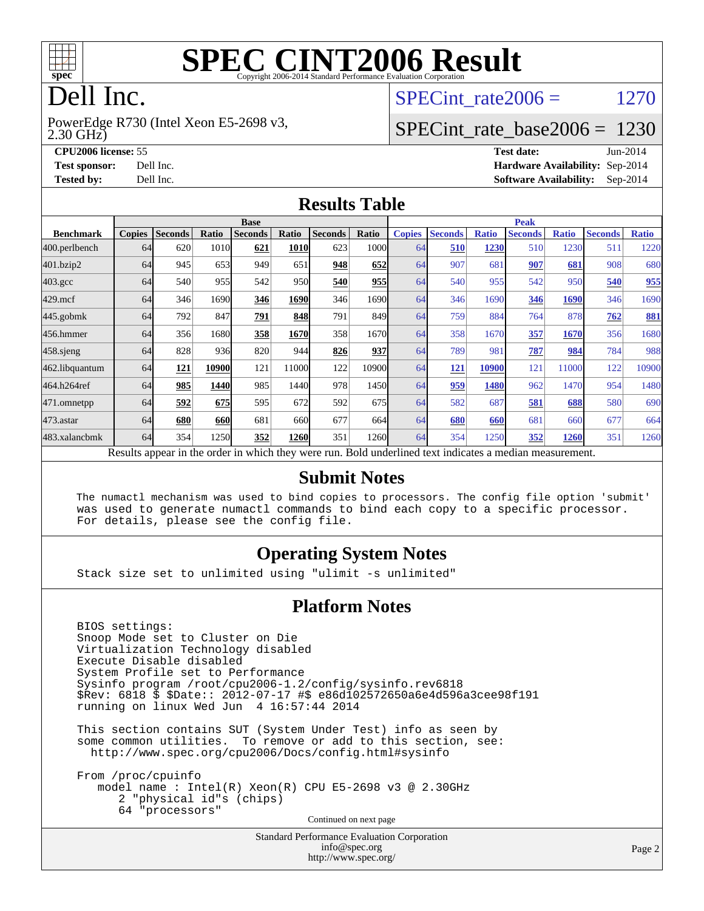

# **[SPEC CINT2006 Result](http://www.spec.org/auto/cpu2006/Docs/result-fields.html#SPECCINT2006Result)**

# Dell Inc.

2.30 GHz) PowerEdge R730 (Intel Xeon E5-2698 v3, SPECint rate  $2006 = 1270$ 

## [SPECint\\_rate\\_base2006 =](http://www.spec.org/auto/cpu2006/Docs/result-fields.html#SPECintratebase2006) 1230

**[CPU2006 license:](http://www.spec.org/auto/cpu2006/Docs/result-fields.html#CPU2006license)** 55 **[Test date:](http://www.spec.org/auto/cpu2006/Docs/result-fields.html#Testdate)** Jun-2014 **[Test sponsor:](http://www.spec.org/auto/cpu2006/Docs/result-fields.html#Testsponsor)** Dell Inc. **[Hardware Availability:](http://www.spec.org/auto/cpu2006/Docs/result-fields.html#HardwareAvailability)** Sep-2014 **[Tested by:](http://www.spec.org/auto/cpu2006/Docs/result-fields.html#Testedby)** Dell Inc. **[Software Availability:](http://www.spec.org/auto/cpu2006/Docs/result-fields.html#SoftwareAvailability)** Sep-2014

#### **[Results Table](http://www.spec.org/auto/cpu2006/Docs/result-fields.html#ResultsTable)**

|                                                                                                          | <b>Base</b>   |                |            |                |             |                |               | <b>Peak</b>   |                |              |                |              |                |              |
|----------------------------------------------------------------------------------------------------------|---------------|----------------|------------|----------------|-------------|----------------|---------------|---------------|----------------|--------------|----------------|--------------|----------------|--------------|
| <b>Benchmark</b>                                                                                         | <b>Copies</b> | <b>Seconds</b> | Ratio      | <b>Seconds</b> | Ratio       | <b>Seconds</b> | Ratio         | <b>Copies</b> | <b>Seconds</b> | <b>Ratio</b> | <b>Seconds</b> | <b>Ratio</b> | <b>Seconds</b> | <b>Ratio</b> |
| 400.perlbench                                                                                            | 64            | 620            | 1010       | 621            | <b>1010</b> | 623            | 1000l         | 64            | 510            | 1230         | 510            | 1230         | 511            | 1220         |
| 401.bzip2                                                                                                | 64            | 945            | 653        | 949            | 651         | 948            | 652           | 64            | 907            | 681          | 907            | 681          | 908            | 680          |
| $403.\mathrm{gcc}$                                                                                       | 64            | 540            | 955        | 542            | 950         | 540            | 955           | 64            | 540            | 955          | 542            | 950          | 540            | 955          |
| $429$ .mcf                                                                                               | 64            | 346            | 1690       | 346            | 1690        | 346            | 16901         | 64            | 346            | 1690         | 346            | 1690         | 346            | 1690         |
| $445$ .gobm $k$                                                                                          | 64            | 792            | 847        | 791            | 848         | 791            | 849           | 64            | 759            | 884          | 764            | 878          | 762            | 881          |
| 456.hmmer                                                                                                | 64            | 356            | 1680       | 358            | 1670        | 358            | 1670          | 64            | 358            | 1670         | 357            | 1670         | 356            | 1680         |
| 458 sjeng                                                                                                | 64            | 828            | 936        | 820            | 944         | 826            | 937           | 64            | 789            | 981          | 787            | 984          | 784            | 988          |
| 462.libquantum                                                                                           | 64            | 121            | 10900      | 121            | 11000       | 122            | 10900         | 64            | 121            | 10900        | 121            | 11000        | 122            | 10900        |
| 464.h264ref                                                                                              | 64            | 985            | 1440       | 985            | 1440        | 978            | 1450          | 64            | 959            | 1480         | 962            | 1470         | 954            | 1480         |
| 471.omnetpp                                                                                              | 64            | 592            | 675        | 595            | 672         | 592            | 675           | 64            | 582            | 687          | 581            | 688          | 580            | 690          |
| $473$ . astar                                                                                            | 64            | 680            | <b>660</b> | 681            | 660         | 677            | 664           | 64            | 680            | 660          | 681            | 660          | 677            | 664          |
| 483.xalancbmk                                                                                            | 64            | 354            | 1250       | 352            | <b>1260</b> | 351            | 1260 <b>1</b> | 64            | 354            | 1250         | 352            | 1260         | 351            | 1260         |
| Results appear in the order in which they were run. Bold underlined text indicates a median measurement. |               |                |            |                |             |                |               |               |                |              |                |              |                |              |

#### **[Submit Notes](http://www.spec.org/auto/cpu2006/Docs/result-fields.html#SubmitNotes)**

 The numactl mechanism was used to bind copies to processors. The config file option 'submit' was used to generate numactl commands to bind each copy to a specific processor. For details, please see the config file.

### **[Operating System Notes](http://www.spec.org/auto/cpu2006/Docs/result-fields.html#OperatingSystemNotes)**

Stack size set to unlimited using "ulimit -s unlimited"

#### **[Platform Notes](http://www.spec.org/auto/cpu2006/Docs/result-fields.html#PlatformNotes)**

 BIOS settings: Snoop Mode set to Cluster on Die Virtualization Technology disabled Execute Disable disabled System Profile set to Performance Sysinfo program /root/cpu2006-1.2/config/sysinfo.rev6818 \$Rev: 6818 \$ \$Date:: 2012-07-17 #\$ e86d102572650a6e4d596a3cee98f191 running on linux Wed Jun 4 16:57:44 2014

 This section contains SUT (System Under Test) info as seen by some common utilities. To remove or add to this section, see: <http://www.spec.org/cpu2006/Docs/config.html#sysinfo>

 From /proc/cpuinfo model name : Intel(R) Xeon(R) CPU E5-2698 v3 @ 2.30GHz 2 "physical id"s (chips) 64 "processors" Continued on next page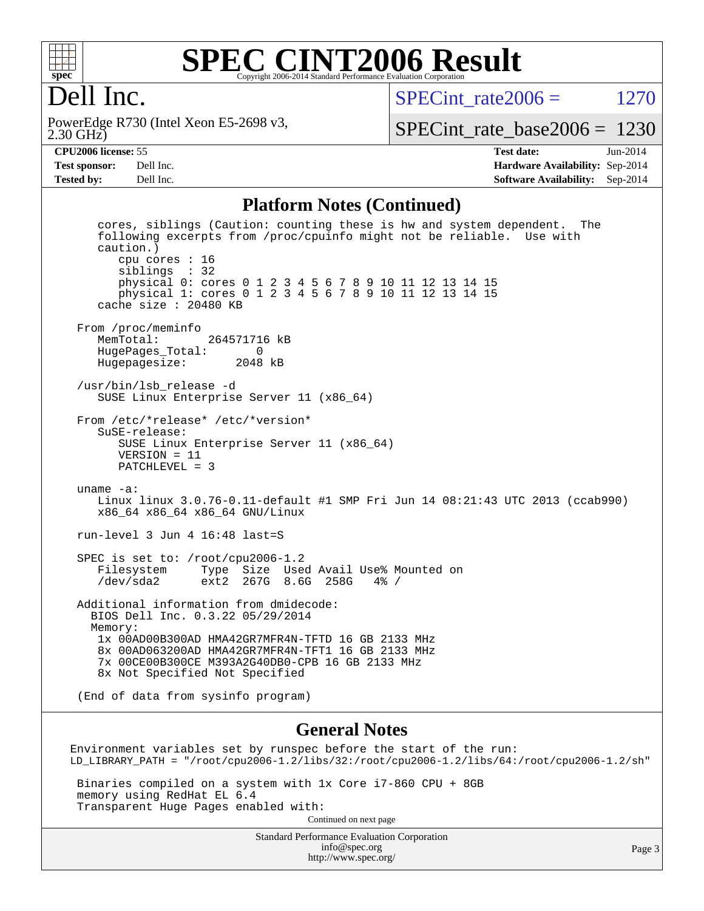

#### **[SPEC CINT2006 Result](http://www.spec.org/auto/cpu2006/Docs/result-fields.html#SPECCINT2006Result)** Copyright 2006-2014 Standard Performance Evaluation Corporation

# Dell Inc.

2.30 GHz) PowerEdge R730 (Intel Xeon E5-2698 v3, SPECint rate  $2006 = 1270$ 

[SPECint\\_rate\\_base2006 =](http://www.spec.org/auto/cpu2006/Docs/result-fields.html#SPECintratebase2006) 1230

**[CPU2006 license:](http://www.spec.org/auto/cpu2006/Docs/result-fields.html#CPU2006license)** 55 **[Test date:](http://www.spec.org/auto/cpu2006/Docs/result-fields.html#Testdate)** Jun-2014 **[Test sponsor:](http://www.spec.org/auto/cpu2006/Docs/result-fields.html#Testsponsor)** Dell Inc. **[Hardware Availability:](http://www.spec.org/auto/cpu2006/Docs/result-fields.html#HardwareAvailability)** Sep-2014 **[Tested by:](http://www.spec.org/auto/cpu2006/Docs/result-fields.html#Testedby)** Dell Inc. **[Software Availability:](http://www.spec.org/auto/cpu2006/Docs/result-fields.html#SoftwareAvailability)** Sep-2014

#### **[Platform Notes \(Continued\)](http://www.spec.org/auto/cpu2006/Docs/result-fields.html#PlatformNotes)**

 cores, siblings (Caution: counting these is hw and system dependent. The following excerpts from /proc/cpuinfo might not be reliable. Use with caution.) cpu cores : 16 siblings : 32 physical 0: cores 0 1 2 3 4 5 6 7 8 9 10 11 12 13 14 15 physical 1: cores 0 1 2 3 4 5 6 7 8 9 10 11 12 13 14 15 cache size : 20480 KB From /proc/meminfo<br>MemTotal: 264571716 kB HugePages\_Total: 0 Hugepagesize: 2048 kB /usr/bin/lsb\_release -d SUSE Linux Enterprise Server 11 (x86\_64) From /etc/\*release\* /etc/\*version\* SuSE-release: SUSE Linux Enterprise Server 11 (x86\_64) VERSION = 11 PATCHLEVEL = 3 uname -a: Linux linux 3.0.76-0.11-default #1 SMP Fri Jun 14 08:21:43 UTC 2013 (ccab990) x86\_64 x86\_64 x86\_64 GNU/Linux run-level 3 Jun 4 16:48 last=S SPEC is set to: /root/cpu2006-1.2 Filesystem Type Size Used Avail Use% Mounted on /dev/sda2 ext2 267G 8.6G 258G 4% / Additional information from dmidecode: BIOS Dell Inc. 0.3.22 05/29/2014 Memory: 1x 00AD00B300AD HMA42GR7MFR4N-TFTD 16 GB 2133 MHz 8x 00AD063200AD HMA42GR7MFR4N-TFT1 16 GB 2133 MHz 7x 00CE00B300CE M393A2G40DB0-CPB 16 GB 2133 MHz 8x Not Specified Not Specified (End of data from sysinfo program)

#### **[General Notes](http://www.spec.org/auto/cpu2006/Docs/result-fields.html#GeneralNotes)**

Environment variables set by runspec before the start of the run: LD\_LIBRARY\_PATH = "/root/cpu2006-1.2/libs/32:/root/cpu2006-1.2/libs/64:/root/cpu2006-1.2/sh"

 Binaries compiled on a system with 1x Core i7-860 CPU + 8GB memory using RedHat EL 6.4 Transparent Huge Pages enabled with: Continued on next page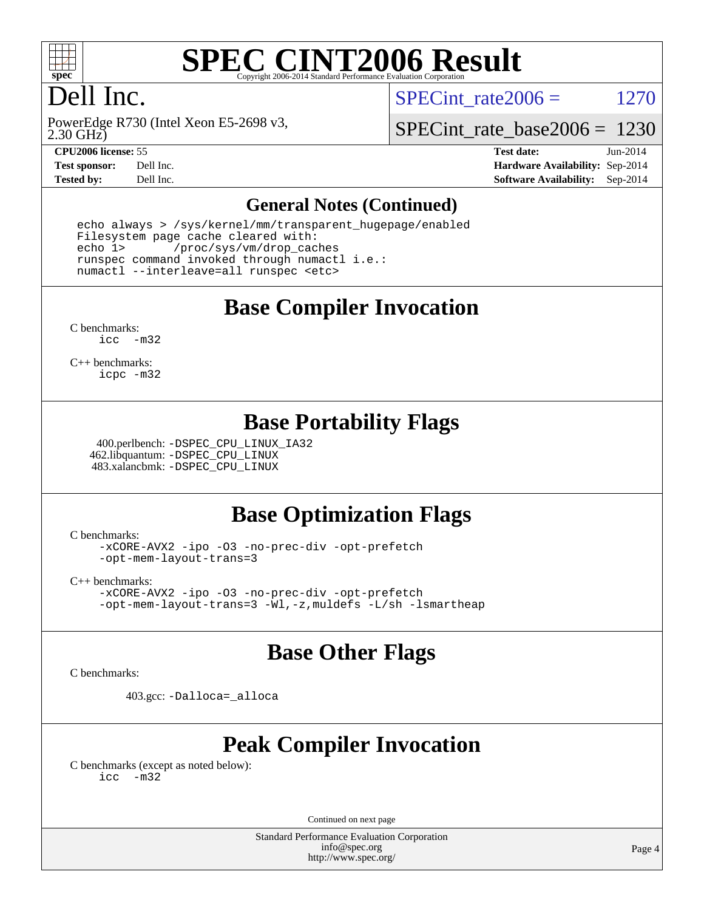

# **[SPEC CINT2006 Result](http://www.spec.org/auto/cpu2006/Docs/result-fields.html#SPECCINT2006Result)**

# Dell Inc.

SPECint rate  $2006 = 1270$ 

2.30 GHz) PowerEdge R730 (Intel Xeon E5-2698 v3,

[SPECint\\_rate\\_base2006 =](http://www.spec.org/auto/cpu2006/Docs/result-fields.html#SPECintratebase2006) 1230

**[CPU2006 license:](http://www.spec.org/auto/cpu2006/Docs/result-fields.html#CPU2006license)** 55 **[Test date:](http://www.spec.org/auto/cpu2006/Docs/result-fields.html#Testdate)** Jun-2014 **[Test sponsor:](http://www.spec.org/auto/cpu2006/Docs/result-fields.html#Testsponsor)** Dell Inc. **[Hardware Availability:](http://www.spec.org/auto/cpu2006/Docs/result-fields.html#HardwareAvailability)** Sep-2014 **[Tested by:](http://www.spec.org/auto/cpu2006/Docs/result-fields.html#Testedby)** Dell Inc. **[Software Availability:](http://www.spec.org/auto/cpu2006/Docs/result-fields.html#SoftwareAvailability)** Sep-2014

#### **[General Notes \(Continued\)](http://www.spec.org/auto/cpu2006/Docs/result-fields.html#GeneralNotes)**

 echo always > /sys/kernel/mm/transparent\_hugepage/enabled Filesystem page cache cleared with: echo 1> /proc/sys/vm/drop\_caches runspec command invoked through numactl i.e.: numactl --interleave=all runspec <etc>

**[Base Compiler Invocation](http://www.spec.org/auto/cpu2006/Docs/result-fields.html#BaseCompilerInvocation)**

[C benchmarks](http://www.spec.org/auto/cpu2006/Docs/result-fields.html#Cbenchmarks): [icc -m32](http://www.spec.org/cpu2006/results/res2014q3/cpu2006-20140909-31369.flags.html#user_CCbase_intel_icc_5ff4a39e364c98233615fdd38438c6f2)

[C++ benchmarks:](http://www.spec.org/auto/cpu2006/Docs/result-fields.html#CXXbenchmarks) [icpc -m32](http://www.spec.org/cpu2006/results/res2014q3/cpu2006-20140909-31369.flags.html#user_CXXbase_intel_icpc_4e5a5ef1a53fd332b3c49e69c3330699)

# **[Base Portability Flags](http://www.spec.org/auto/cpu2006/Docs/result-fields.html#BasePortabilityFlags)**

 400.perlbench: [-DSPEC\\_CPU\\_LINUX\\_IA32](http://www.spec.org/cpu2006/results/res2014q3/cpu2006-20140909-31369.flags.html#b400.perlbench_baseCPORTABILITY_DSPEC_CPU_LINUX_IA32) 462.libquantum: [-DSPEC\\_CPU\\_LINUX](http://www.spec.org/cpu2006/results/res2014q3/cpu2006-20140909-31369.flags.html#b462.libquantum_baseCPORTABILITY_DSPEC_CPU_LINUX) 483.xalancbmk: [-DSPEC\\_CPU\\_LINUX](http://www.spec.org/cpu2006/results/res2014q3/cpu2006-20140909-31369.flags.html#b483.xalancbmk_baseCXXPORTABILITY_DSPEC_CPU_LINUX)

# **[Base Optimization Flags](http://www.spec.org/auto/cpu2006/Docs/result-fields.html#BaseOptimizationFlags)**

[C benchmarks](http://www.spec.org/auto/cpu2006/Docs/result-fields.html#Cbenchmarks):

[-xCORE-AVX2](http://www.spec.org/cpu2006/results/res2014q3/cpu2006-20140909-31369.flags.html#user_CCbase_f-xAVX2_5f5fc0cbe2c9f62c816d3e45806c70d7) [-ipo](http://www.spec.org/cpu2006/results/res2014q3/cpu2006-20140909-31369.flags.html#user_CCbase_f-ipo) [-O3](http://www.spec.org/cpu2006/results/res2014q3/cpu2006-20140909-31369.flags.html#user_CCbase_f-O3) [-no-prec-div](http://www.spec.org/cpu2006/results/res2014q3/cpu2006-20140909-31369.flags.html#user_CCbase_f-no-prec-div) [-opt-prefetch](http://www.spec.org/cpu2006/results/res2014q3/cpu2006-20140909-31369.flags.html#user_CCbase_f-opt-prefetch) [-opt-mem-layout-trans=3](http://www.spec.org/cpu2006/results/res2014q3/cpu2006-20140909-31369.flags.html#user_CCbase_f-opt-mem-layout-trans_a7b82ad4bd7abf52556d4961a2ae94d5)

[C++ benchmarks:](http://www.spec.org/auto/cpu2006/Docs/result-fields.html#CXXbenchmarks)

[-xCORE-AVX2](http://www.spec.org/cpu2006/results/res2014q3/cpu2006-20140909-31369.flags.html#user_CXXbase_f-xAVX2_5f5fc0cbe2c9f62c816d3e45806c70d7) [-ipo](http://www.spec.org/cpu2006/results/res2014q3/cpu2006-20140909-31369.flags.html#user_CXXbase_f-ipo) [-O3](http://www.spec.org/cpu2006/results/res2014q3/cpu2006-20140909-31369.flags.html#user_CXXbase_f-O3) [-no-prec-div](http://www.spec.org/cpu2006/results/res2014q3/cpu2006-20140909-31369.flags.html#user_CXXbase_f-no-prec-div) [-opt-prefetch](http://www.spec.org/cpu2006/results/res2014q3/cpu2006-20140909-31369.flags.html#user_CXXbase_f-opt-prefetch) [-opt-mem-layout-trans=3](http://www.spec.org/cpu2006/results/res2014q3/cpu2006-20140909-31369.flags.html#user_CXXbase_f-opt-mem-layout-trans_a7b82ad4bd7abf52556d4961a2ae94d5) [-Wl,-z,muldefs](http://www.spec.org/cpu2006/results/res2014q3/cpu2006-20140909-31369.flags.html#user_CXXbase_link_force_multiple1_74079c344b956b9658436fd1b6dd3a8a) [-L/sh -lsmartheap](http://www.spec.org/cpu2006/results/res2014q3/cpu2006-20140909-31369.flags.html#user_CXXbase_SmartHeap_32f6c82aa1ed9c52345d30cf6e4a0499)

# **[Base Other Flags](http://www.spec.org/auto/cpu2006/Docs/result-fields.html#BaseOtherFlags)**

[C benchmarks](http://www.spec.org/auto/cpu2006/Docs/result-fields.html#Cbenchmarks):

403.gcc: [-Dalloca=\\_alloca](http://www.spec.org/cpu2006/results/res2014q3/cpu2006-20140909-31369.flags.html#b403.gcc_baseEXTRA_CFLAGS_Dalloca_be3056838c12de2578596ca5467af7f3)

# **[Peak Compiler Invocation](http://www.spec.org/auto/cpu2006/Docs/result-fields.html#PeakCompilerInvocation)**

[C benchmarks \(except as noted below\)](http://www.spec.org/auto/cpu2006/Docs/result-fields.html#Cbenchmarksexceptasnotedbelow): [icc -m32](http://www.spec.org/cpu2006/results/res2014q3/cpu2006-20140909-31369.flags.html#user_CCpeak_intel_icc_5ff4a39e364c98233615fdd38438c6f2)

Continued on next page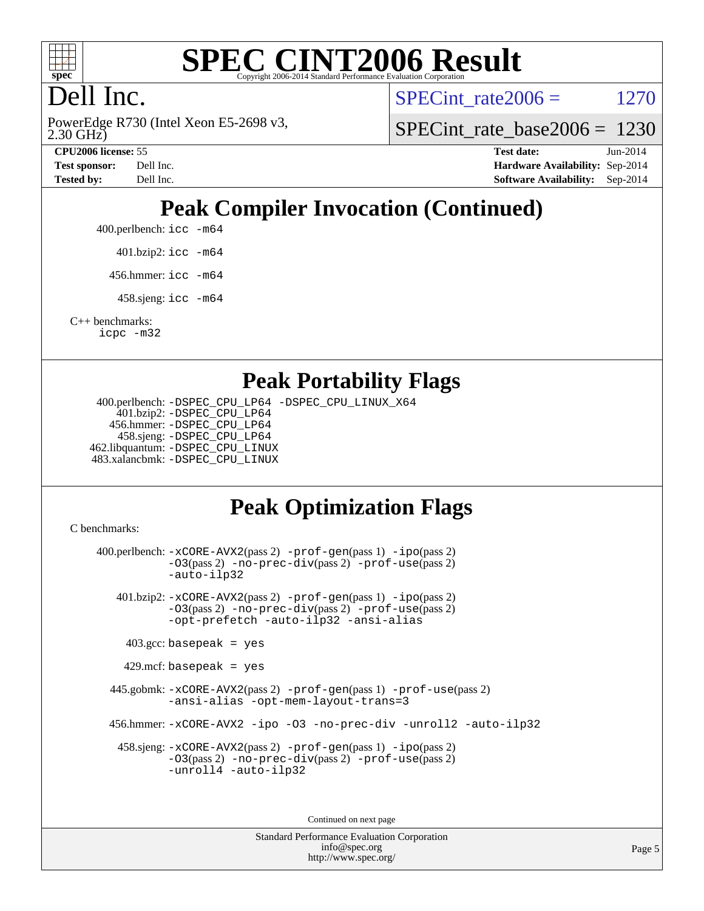

#### **[SPEC CINT2006 Result](http://www.spec.org/auto/cpu2006/Docs/result-fields.html#SPECCINT2006Result)** Copyright 2006-2014 Standard Performance Evaluation C

# Dell Inc.

2.30 GHz) PowerEdge R730 (Intel Xeon E5-2698 v3, SPECint rate  $2006 = 1270$ 

[SPECint\\_rate\\_base2006 =](http://www.spec.org/auto/cpu2006/Docs/result-fields.html#SPECintratebase2006) 1230

**[CPU2006 license:](http://www.spec.org/auto/cpu2006/Docs/result-fields.html#CPU2006license)** 55 **[Test date:](http://www.spec.org/auto/cpu2006/Docs/result-fields.html#Testdate)** Jun-2014 **[Test sponsor:](http://www.spec.org/auto/cpu2006/Docs/result-fields.html#Testsponsor)** Dell Inc. **[Hardware Availability:](http://www.spec.org/auto/cpu2006/Docs/result-fields.html#HardwareAvailability)** Sep-2014 **[Tested by:](http://www.spec.org/auto/cpu2006/Docs/result-fields.html#Testedby)** Dell Inc. **[Software Availability:](http://www.spec.org/auto/cpu2006/Docs/result-fields.html#SoftwareAvailability)** Sep-2014

# **[Peak Compiler Invocation \(Continued\)](http://www.spec.org/auto/cpu2006/Docs/result-fields.html#PeakCompilerInvocation)**

400.perlbench: [icc -m64](http://www.spec.org/cpu2006/results/res2014q3/cpu2006-20140909-31369.flags.html#user_peakCCLD400_perlbench_intel_icc_64bit_bda6cc9af1fdbb0edc3795bac97ada53)

401.bzip2: [icc -m64](http://www.spec.org/cpu2006/results/res2014q3/cpu2006-20140909-31369.flags.html#user_peakCCLD401_bzip2_intel_icc_64bit_bda6cc9af1fdbb0edc3795bac97ada53)

456.hmmer: [icc -m64](http://www.spec.org/cpu2006/results/res2014q3/cpu2006-20140909-31369.flags.html#user_peakCCLD456_hmmer_intel_icc_64bit_bda6cc9af1fdbb0edc3795bac97ada53)

458.sjeng: [icc -m64](http://www.spec.org/cpu2006/results/res2014q3/cpu2006-20140909-31369.flags.html#user_peakCCLD458_sjeng_intel_icc_64bit_bda6cc9af1fdbb0edc3795bac97ada53)

[C++ benchmarks:](http://www.spec.org/auto/cpu2006/Docs/result-fields.html#CXXbenchmarks) [icpc -m32](http://www.spec.org/cpu2006/results/res2014q3/cpu2006-20140909-31369.flags.html#user_CXXpeak_intel_icpc_4e5a5ef1a53fd332b3c49e69c3330699)

### **[Peak Portability Flags](http://www.spec.org/auto/cpu2006/Docs/result-fields.html#PeakPortabilityFlags)**

 400.perlbench: [-DSPEC\\_CPU\\_LP64](http://www.spec.org/cpu2006/results/res2014q3/cpu2006-20140909-31369.flags.html#b400.perlbench_peakCPORTABILITY_DSPEC_CPU_LP64) [-DSPEC\\_CPU\\_LINUX\\_X64](http://www.spec.org/cpu2006/results/res2014q3/cpu2006-20140909-31369.flags.html#b400.perlbench_peakCPORTABILITY_DSPEC_CPU_LINUX_X64) 401.bzip2: [-DSPEC\\_CPU\\_LP64](http://www.spec.org/cpu2006/results/res2014q3/cpu2006-20140909-31369.flags.html#suite_peakCPORTABILITY401_bzip2_DSPEC_CPU_LP64) 456.hmmer: [-DSPEC\\_CPU\\_LP64](http://www.spec.org/cpu2006/results/res2014q3/cpu2006-20140909-31369.flags.html#suite_peakCPORTABILITY456_hmmer_DSPEC_CPU_LP64) 458.sjeng: [-DSPEC\\_CPU\\_LP64](http://www.spec.org/cpu2006/results/res2014q3/cpu2006-20140909-31369.flags.html#suite_peakCPORTABILITY458_sjeng_DSPEC_CPU_LP64) 462.libquantum: [-DSPEC\\_CPU\\_LINUX](http://www.spec.org/cpu2006/results/res2014q3/cpu2006-20140909-31369.flags.html#b462.libquantum_peakCPORTABILITY_DSPEC_CPU_LINUX) 483.xalancbmk: [-DSPEC\\_CPU\\_LINUX](http://www.spec.org/cpu2006/results/res2014q3/cpu2006-20140909-31369.flags.html#b483.xalancbmk_peakCXXPORTABILITY_DSPEC_CPU_LINUX)

# **[Peak Optimization Flags](http://www.spec.org/auto/cpu2006/Docs/result-fields.html#PeakOptimizationFlags)**

[C benchmarks](http://www.spec.org/auto/cpu2006/Docs/result-fields.html#Cbenchmarks):

 400.perlbench: [-xCORE-AVX2](http://www.spec.org/cpu2006/results/res2014q3/cpu2006-20140909-31369.flags.html#user_peakPASS2_CFLAGSPASS2_LDCFLAGS400_perlbench_f-xAVX2_5f5fc0cbe2c9f62c816d3e45806c70d7)(pass 2) [-prof-gen](http://www.spec.org/cpu2006/results/res2014q3/cpu2006-20140909-31369.flags.html#user_peakPASS1_CFLAGSPASS1_LDCFLAGS400_perlbench_prof_gen_e43856698f6ca7b7e442dfd80e94a8fc)(pass 1) [-ipo](http://www.spec.org/cpu2006/results/res2014q3/cpu2006-20140909-31369.flags.html#user_peakPASS2_CFLAGSPASS2_LDCFLAGS400_perlbench_f-ipo)(pass 2) [-O3](http://www.spec.org/cpu2006/results/res2014q3/cpu2006-20140909-31369.flags.html#user_peakPASS2_CFLAGSPASS2_LDCFLAGS400_perlbench_f-O3)(pass 2) [-no-prec-div](http://www.spec.org/cpu2006/results/res2014q3/cpu2006-20140909-31369.flags.html#user_peakPASS2_CFLAGSPASS2_LDCFLAGS400_perlbench_f-no-prec-div)(pass 2) [-prof-use](http://www.spec.org/cpu2006/results/res2014q3/cpu2006-20140909-31369.flags.html#user_peakPASS2_CFLAGSPASS2_LDCFLAGS400_perlbench_prof_use_bccf7792157ff70d64e32fe3e1250b55)(pass 2) [-auto-ilp32](http://www.spec.org/cpu2006/results/res2014q3/cpu2006-20140909-31369.flags.html#user_peakCOPTIMIZE400_perlbench_f-auto-ilp32) 401.bzip2: [-xCORE-AVX2](http://www.spec.org/cpu2006/results/res2014q3/cpu2006-20140909-31369.flags.html#user_peakPASS2_CFLAGSPASS2_LDCFLAGS401_bzip2_f-xAVX2_5f5fc0cbe2c9f62c816d3e45806c70d7)(pass 2) [-prof-gen](http://www.spec.org/cpu2006/results/res2014q3/cpu2006-20140909-31369.flags.html#user_peakPASS1_CFLAGSPASS1_LDCFLAGS401_bzip2_prof_gen_e43856698f6ca7b7e442dfd80e94a8fc)(pass 1) [-ipo](http://www.spec.org/cpu2006/results/res2014q3/cpu2006-20140909-31369.flags.html#user_peakPASS2_CFLAGSPASS2_LDCFLAGS401_bzip2_f-ipo)(pass 2) [-O3](http://www.spec.org/cpu2006/results/res2014q3/cpu2006-20140909-31369.flags.html#user_peakPASS2_CFLAGSPASS2_LDCFLAGS401_bzip2_f-O3)(pass 2) [-no-prec-div](http://www.spec.org/cpu2006/results/res2014q3/cpu2006-20140909-31369.flags.html#user_peakPASS2_CFLAGSPASS2_LDCFLAGS401_bzip2_f-no-prec-div)(pass 2) [-prof-use](http://www.spec.org/cpu2006/results/res2014q3/cpu2006-20140909-31369.flags.html#user_peakPASS2_CFLAGSPASS2_LDCFLAGS401_bzip2_prof_use_bccf7792157ff70d64e32fe3e1250b55)(pass 2) [-opt-prefetch](http://www.spec.org/cpu2006/results/res2014q3/cpu2006-20140909-31369.flags.html#user_peakCOPTIMIZE401_bzip2_f-opt-prefetch) [-auto-ilp32](http://www.spec.org/cpu2006/results/res2014q3/cpu2006-20140909-31369.flags.html#user_peakCOPTIMIZE401_bzip2_f-auto-ilp32) [-ansi-alias](http://www.spec.org/cpu2006/results/res2014q3/cpu2006-20140909-31369.flags.html#user_peakCOPTIMIZE401_bzip2_f-ansi-alias)  $403.\text{gcc: basepeak}$  = yes  $429$ .mcf: basepeak = yes 445.gobmk: [-xCORE-AVX2](http://www.spec.org/cpu2006/results/res2014q3/cpu2006-20140909-31369.flags.html#user_peakPASS2_CFLAGSPASS2_LDCFLAGS445_gobmk_f-xAVX2_5f5fc0cbe2c9f62c816d3e45806c70d7)(pass 2) [-prof-gen](http://www.spec.org/cpu2006/results/res2014q3/cpu2006-20140909-31369.flags.html#user_peakPASS1_CFLAGSPASS1_LDCFLAGS445_gobmk_prof_gen_e43856698f6ca7b7e442dfd80e94a8fc)(pass 1) [-prof-use](http://www.spec.org/cpu2006/results/res2014q3/cpu2006-20140909-31369.flags.html#user_peakPASS2_CFLAGSPASS2_LDCFLAGS445_gobmk_prof_use_bccf7792157ff70d64e32fe3e1250b55)(pass 2) [-ansi-alias](http://www.spec.org/cpu2006/results/res2014q3/cpu2006-20140909-31369.flags.html#user_peakCOPTIMIZE445_gobmk_f-ansi-alias) [-opt-mem-layout-trans=3](http://www.spec.org/cpu2006/results/res2014q3/cpu2006-20140909-31369.flags.html#user_peakCOPTIMIZE445_gobmk_f-opt-mem-layout-trans_a7b82ad4bd7abf52556d4961a2ae94d5) 456.hmmer: [-xCORE-AVX2](http://www.spec.org/cpu2006/results/res2014q3/cpu2006-20140909-31369.flags.html#user_peakCOPTIMIZE456_hmmer_f-xAVX2_5f5fc0cbe2c9f62c816d3e45806c70d7) [-ipo](http://www.spec.org/cpu2006/results/res2014q3/cpu2006-20140909-31369.flags.html#user_peakCOPTIMIZE456_hmmer_f-ipo) [-O3](http://www.spec.org/cpu2006/results/res2014q3/cpu2006-20140909-31369.flags.html#user_peakCOPTIMIZE456_hmmer_f-O3) [-no-prec-div](http://www.spec.org/cpu2006/results/res2014q3/cpu2006-20140909-31369.flags.html#user_peakCOPTIMIZE456_hmmer_f-no-prec-div) [-unroll2](http://www.spec.org/cpu2006/results/res2014q3/cpu2006-20140909-31369.flags.html#user_peakCOPTIMIZE456_hmmer_f-unroll_784dae83bebfb236979b41d2422d7ec2) [-auto-ilp32](http://www.spec.org/cpu2006/results/res2014q3/cpu2006-20140909-31369.flags.html#user_peakCOPTIMIZE456_hmmer_f-auto-ilp32) 458.sjeng: [-xCORE-AVX2](http://www.spec.org/cpu2006/results/res2014q3/cpu2006-20140909-31369.flags.html#user_peakPASS2_CFLAGSPASS2_LDCFLAGS458_sjeng_f-xAVX2_5f5fc0cbe2c9f62c816d3e45806c70d7)(pass 2) [-prof-gen](http://www.spec.org/cpu2006/results/res2014q3/cpu2006-20140909-31369.flags.html#user_peakPASS1_CFLAGSPASS1_LDCFLAGS458_sjeng_prof_gen_e43856698f6ca7b7e442dfd80e94a8fc)(pass 1) [-ipo](http://www.spec.org/cpu2006/results/res2014q3/cpu2006-20140909-31369.flags.html#user_peakPASS2_CFLAGSPASS2_LDCFLAGS458_sjeng_f-ipo)(pass 2) [-O3](http://www.spec.org/cpu2006/results/res2014q3/cpu2006-20140909-31369.flags.html#user_peakPASS2_CFLAGSPASS2_LDCFLAGS458_sjeng_f-O3)(pass 2) [-no-prec-div](http://www.spec.org/cpu2006/results/res2014q3/cpu2006-20140909-31369.flags.html#user_peakPASS2_CFLAGSPASS2_LDCFLAGS458_sjeng_f-no-prec-div)(pass 2) [-prof-use](http://www.spec.org/cpu2006/results/res2014q3/cpu2006-20140909-31369.flags.html#user_peakPASS2_CFLAGSPASS2_LDCFLAGS458_sjeng_prof_use_bccf7792157ff70d64e32fe3e1250b55)(pass 2) [-unroll4](http://www.spec.org/cpu2006/results/res2014q3/cpu2006-20140909-31369.flags.html#user_peakCOPTIMIZE458_sjeng_f-unroll_4e5e4ed65b7fd20bdcd365bec371b81f) [-auto-ilp32](http://www.spec.org/cpu2006/results/res2014q3/cpu2006-20140909-31369.flags.html#user_peakCOPTIMIZE458_sjeng_f-auto-ilp32)

Continued on next page